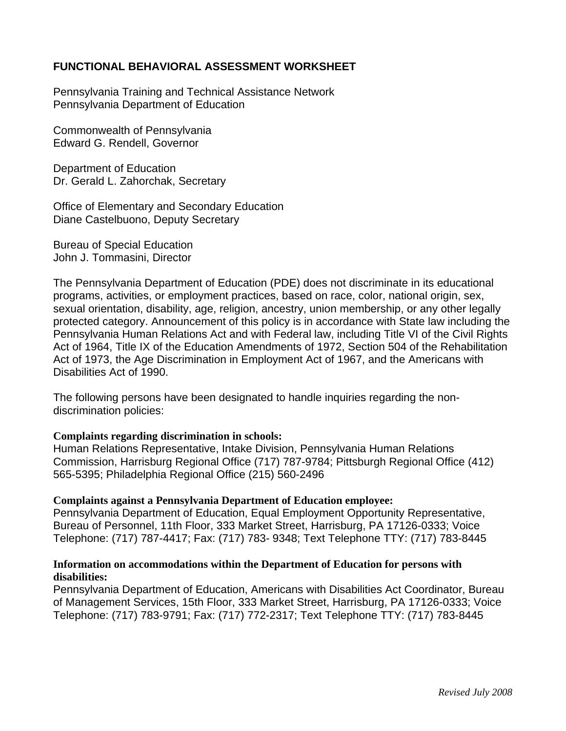### **FUNCTIONAL BEHAVIORAL ASSESSMENT WORKSHEET**

Pennsylvania Training and Technical Assistance Network Pennsylvania Department of Education

Commonwealth of Pennsylvania Edward G. Rendell, Governor

Department of Education Dr. Gerald L. Zahorchak, Secretary

Office of Elementary and Secondary Education Diane Castelbuono, Deputy Secretary

Bureau of Special Education John J. Tommasini, Director

The Pennsylvania Department of Education (PDE) does not discriminate in its educational programs, activities, or employment practices, based on race, color, national origin, sex, sexual orientation, disability, age, religion, ancestry, union membership, or any other legally protected category. Announcement of this policy is in accordance with State law including the Pennsylvania Human Relations Act and with Federal law, including Title VI of the Civil Rights Act of 1964, Title IX of the Education Amendments of 1972, Section 504 of the Rehabilitation Act of 1973, the Age Discrimination in Employment Act of 1967, and the Americans with Disabilities Act of 1990.

The following persons have been designated to handle inquiries regarding the nondiscrimination policies:

#### **Complaints regarding discrimination in schools:**

Human Relations Representative, Intake Division, Pennsylvania Human Relations Commission, Harrisburg Regional Office (717) 787-9784; Pittsburgh Regional Office (412) 565-5395; Philadelphia Regional Office (215) 560-2496

#### **Complaints against a Pennsylvania Department of Education employee:**

Pennsylvania Department of Education, Equal Employment Opportunity Representative, Bureau of Personnel, 11th Floor, 333 Market Street, Harrisburg, PA 17126-0333; Voice Telephone: (717) 787-4417; Fax: (717) 783- 9348; Text Telephone TTY: (717) 783-8445

#### **Information on accommodations within the Department of Education for persons with disabilities:**

Pennsylvania Department of Education, Americans with Disabilities Act Coordinator, Bureau of Management Services, 15th Floor, 333 Market Street, Harrisburg, PA 17126-0333; Voice Telephone: (717) 783-9791; Fax: (717) 772-2317; Text Telephone TTY: (717) 783-8445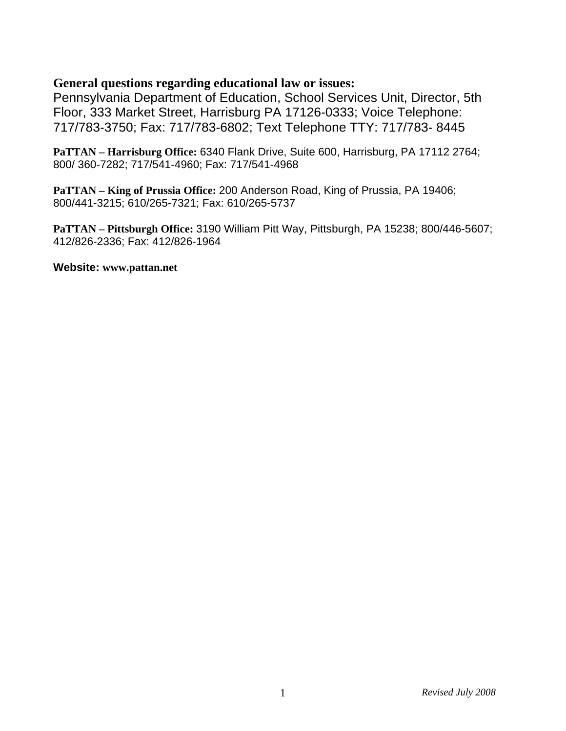### **General questions regarding educational law or issues:**

Pennsylvania Department of Education, School Services Unit, Director, 5th Floor, 333 Market Street, Harrisburg PA 17126-0333; Voice Telephone: 717/783-3750; Fax: 717/783-6802; Text Telephone TTY: 717/783- 8445

**PaTTAN – Harrisburg Office:** 6340 Flank Drive, Suite 600, Harrisburg, PA 17112 2764; 800/ 360-7282; 717/541-4960; Fax: 717/541-4968

**PaTTAN – King of Prussia Office:** 200 Anderson Road, King of Prussia, PA 19406; 800/441-3215; 610/265-7321; Fax: 610/265-5737

**PaTTAN – Pittsburgh Office:** 3190 William Pitt Way, Pittsburgh, PA 15238; 800/446-5607; 412/826-2336; Fax: 412/826-1964

#### **Website: www.pattan.net**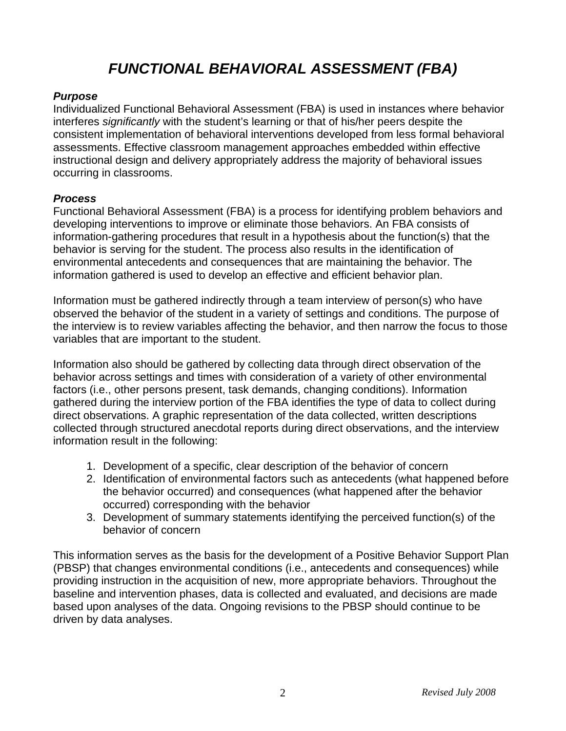# *FUNCTIONAL BEHAVIORAL ASSESSMENT (FBA)*

#### *Purpose*

Individualized Functional Behavioral Assessment (FBA) is used in instances where behavior interferes *significantly* with the student's learning or that of his/her peers despite the consistent implementation of behavioral interventions developed from less formal behavioral assessments. Effective classroom management approaches embedded within effective instructional design and delivery appropriately address the majority of behavioral issues occurring in classrooms.

### *Process*

Functional Behavioral Assessment (FBA) is a process for identifying problem behaviors and developing interventions to improve or eliminate those behaviors. An FBA consists of information-gathering procedures that result in a hypothesis about the function(s) that the behavior is serving for the student. The process also results in the identification of environmental antecedents and consequences that are maintaining the behavior. The information gathered is used to develop an effective and efficient behavior plan.

Information must be gathered indirectly through a team interview of person(s) who have observed the behavior of the student in a variety of settings and conditions. The purpose of the interview is to review variables affecting the behavior, and then narrow the focus to those variables that are important to the student.

Information also should be gathered by collecting data through direct observation of the behavior across settings and times with consideration of a variety of other environmental factors (i.e., other persons present, task demands, changing conditions). Information gathered during the interview portion of the FBA identifies the type of data to collect during direct observations. A graphic representation of the data collected, written descriptions collected through structured anecdotal reports during direct observations, and the interview information result in the following:

- 1. Development of a specific, clear description of the behavior of concern
- 2. Identification of environmental factors such as antecedents (what happened before the behavior occurred) and consequences (what happened after the behavior occurred) corresponding with the behavior
- 3. Development of summary statements identifying the perceived function(s) of the behavior of concern

This information serves as the basis for the development of a Positive Behavior Support Plan (PBSP) that changes environmental conditions (i.e., antecedents and consequences) while providing instruction in the acquisition of new, more appropriate behaviors. Throughout the baseline and intervention phases, data is collected and evaluated, and decisions are made based upon analyses of the data. Ongoing revisions to the PBSP should continue to be driven by data analyses.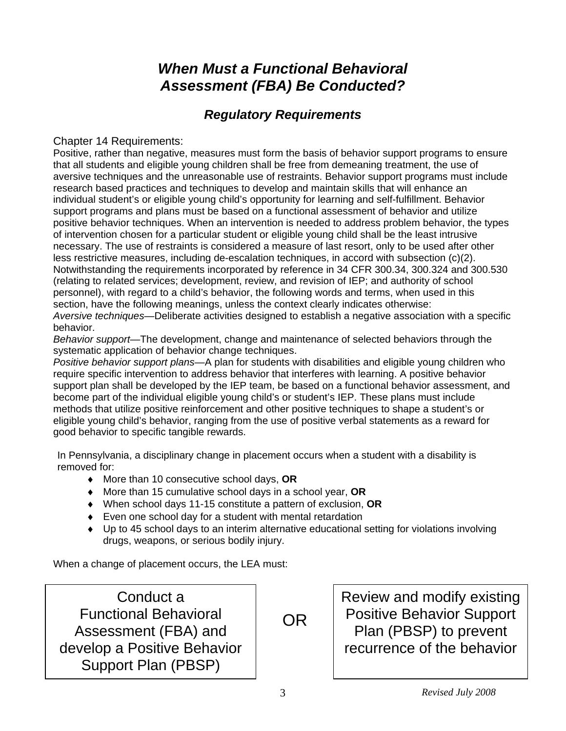## *When Must a Functional Behavioral Assessment (FBA) Be Conducted?*

### *Regulatory Requirements*

### Chapter 14 Requirements:

Positive, rather than negative, measures must form the basis of behavior support programs to ensure that all students and eligible young children shall be free from demeaning treatment, the use of aversive techniques and the unreasonable use of restraints. Behavior support programs must include research based practices and techniques to develop and maintain skills that will enhance an individual student's or eligible young child's opportunity for learning and self-fulfillment. Behavior support programs and plans must be based on a functional assessment of behavior and utilize positive behavior techniques. When an intervention is needed to address problem behavior, the types of intervention chosen for a particular student or eligible young child shall be the least intrusive necessary. The use of restraints is considered a measure of last resort, only to be used after other less restrictive measures, including de-escalation techniques, in accord with subsection (c)(2). Notwithstanding the requirements incorporated by reference in 34 CFR 300.34, 300.324 and 300.530 (relating to related services; development, review, and revision of IEP; and authority of school personnel), with regard to a child's behavior, the following words and terms, when used in this section, have the following meanings, unless the context clearly indicates otherwise: *Aversive techniques—*Deliberate activities designed to establish a negative association with a specific behavior.

*Behavior support—*The development, change and maintenance of selected behaviors through the systematic application of behavior change techniques.

*Positive behavior support plans—*A plan for students with disabilities and eligible young children who require specific intervention to address behavior that interferes with learning. A positive behavior support plan shall be developed by the IEP team, be based on a functional behavior assessment, and become part of the individual eligible young child's or student's IEP. These plans must include methods that utilize positive reinforcement and other positive techniques to shape a student's or eligible young child's behavior, ranging from the use of positive verbal statements as a reward for good behavior to specific tangible rewards.

In Pennsylvania, a disciplinary change in placement occurs when a student with a disability is removed for:

- ♦ More than 10 consecutive school days, **OR**
- ♦ More than 15 cumulative school days in a school year, **OR**
- ♦ When school days 11-15 constitute a pattern of exclusion, **OR**
- ♦ Even one school day for a student with mental retardation
- ♦ Up to 45 school days to an interim alternative educational setting for violations involving drugs, weapons, or serious bodily injury.

When a change of placement occurs, the LEA must:

Conduct a Functional Behavioral Assessment (FBA) and develop a Positive Behavior Support Plan (PBSP)

OR

Review and modify existing Positive Behavior Support Plan (PBSP) to prevent recurrence of the behavior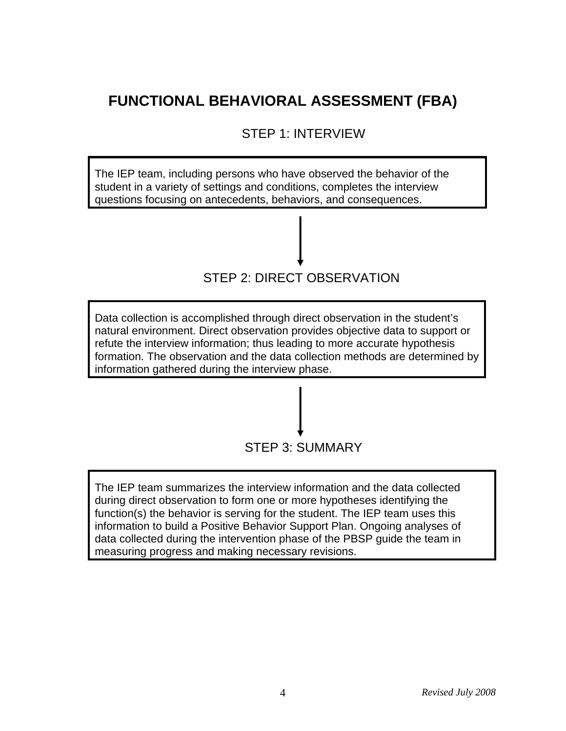# **FUNCTIONAL BEHAVIORAL ASSESSMENT (FBA)**

STEP 1: INTERVIEW

The IEP team, including persons who have observed the behavior of the student in a variety of settings and conditions, completes the interview questions focusing on antecedents, behaviors, and consequences.



Data collection is accomplished through direct observation in the student's natural environment. Direct observation provides objective data to support or refute the interview information; thus leading to more accurate hypothesis formation. The observation and the data collection methods are determined by information gathered during the interview phase.



The IEP team summarizes the interview information and the data collected during direct observation to form one or more hypotheses identifying the function(s) the behavior is serving for the student. The IEP team uses this information to build a Positive Behavior Support Plan. Ongoing analyses of data collected during the intervention phase of the PBSP guide the team in measuring progress and making necessary revisions.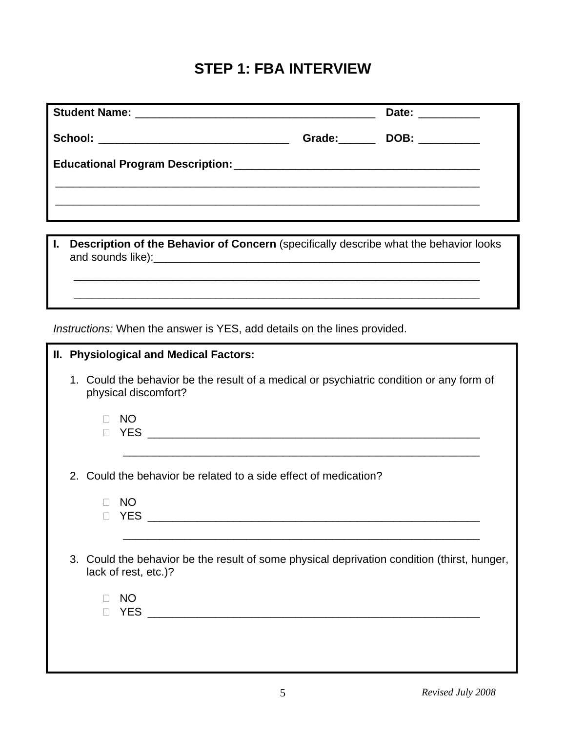### **STEP 1: FBA INTERVIEW**

|                                                                                                         |  | Date: __________  |  |  |
|---------------------------------------------------------------------------------------------------------|--|-------------------|--|--|
| School: __________________________________                                                              |  | Grade: DOB: 2008. |  |  |
|                                                                                                         |  |                   |  |  |
| $\blacksquare$<br>Description of the Behavior of Concern (specifically describe what the behavior looks |  |                   |  |  |
|                                                                                                         |  |                   |  |  |
| <i>Instructions:</i> When the answer is YES, add details on the lines provided.                         |  |                   |  |  |
| <b>II. Physiological and Medical Factors:</b>                                                           |  |                   |  |  |

 1. Could the behavior be the result of a medical or psychiatric condition or any form of physical discomfort?

| <b>NO</b><br><b>YES</b>                                                                                             |
|---------------------------------------------------------------------------------------------------------------------|
|                                                                                                                     |
| 2. Could the behavior be related to a side effect of medication?                                                    |
| <b>NO</b><br><b>YES</b><br>П                                                                                        |
| 3. Could the behavior be the result of some physical deprivation condition (thirst, hunger,<br>lack of rest, etc.)? |
| <b>NO</b><br><b>YES</b>                                                                                             |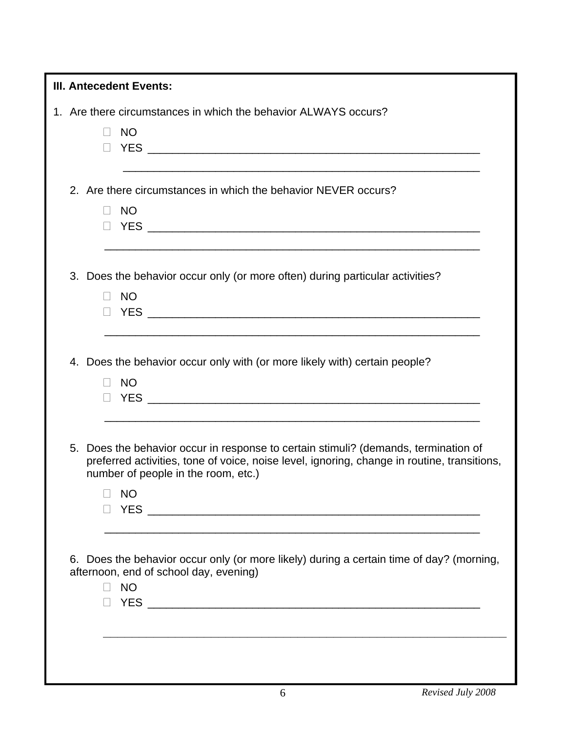| <b>III. Antecedent Events:</b>                                                                                                                                                                                            |  |  |  |  |
|---------------------------------------------------------------------------------------------------------------------------------------------------------------------------------------------------------------------------|--|--|--|--|
| 1. Are there circumstances in which the behavior ALWAYS occurs?                                                                                                                                                           |  |  |  |  |
| <b>NO</b><br>$\Box$                                                                                                                                                                                                       |  |  |  |  |
|                                                                                                                                                                                                                           |  |  |  |  |
|                                                                                                                                                                                                                           |  |  |  |  |
| 2. Are there circumstances in which the behavior NEVER occurs?                                                                                                                                                            |  |  |  |  |
| <b>NO</b><br>$\Box$                                                                                                                                                                                                       |  |  |  |  |
|                                                                                                                                                                                                                           |  |  |  |  |
| 3. Does the behavior occur only (or more often) during particular activities?                                                                                                                                             |  |  |  |  |
| <b>NO</b><br>$\Box$                                                                                                                                                                                                       |  |  |  |  |
|                                                                                                                                                                                                                           |  |  |  |  |
|                                                                                                                                                                                                                           |  |  |  |  |
| 4. Does the behavior occur only with (or more likely with) certain people?<br><b>NO</b><br>$\Box$                                                                                                                         |  |  |  |  |
| 5. Does the behavior occur in response to certain stimuli? (demands, termination of<br>preferred activities, tone of voice, noise level, ignoring, change in routine, transitions,<br>number of people in the room, etc.) |  |  |  |  |
| <b>NO</b>                                                                                                                                                                                                                 |  |  |  |  |
|                                                                                                                                                                                                                           |  |  |  |  |
| 6. Does the behavior occur only (or more likely) during a certain time of day? (morning,<br>afternoon, end of school day, evening)<br><b>NO</b>                                                                           |  |  |  |  |
|                                                                                                                                                                                                                           |  |  |  |  |
|                                                                                                                                                                                                                           |  |  |  |  |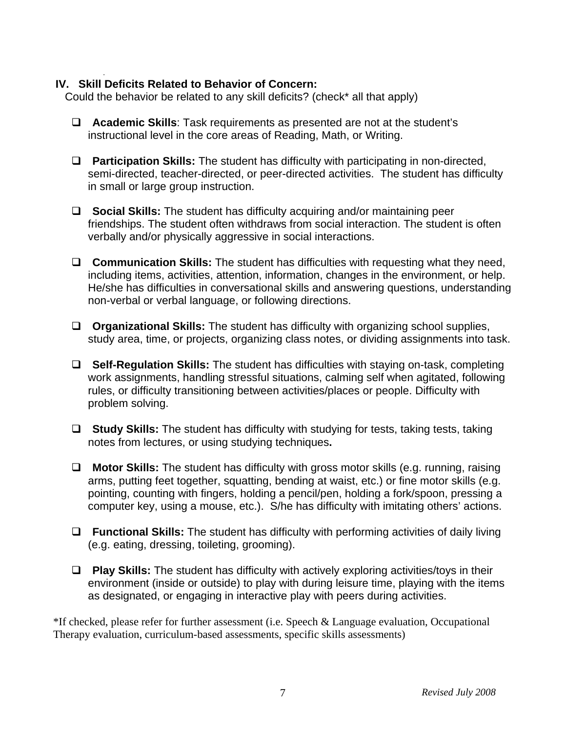### **IV. Skill Deficits Related to Behavior of Concern:**

.

Could the behavior be related to any skill deficits? (check\* all that apply)

- **Academic Skills**: Task requirements as presented are not at the student's instructional level in the core areas of Reading, Math, or Writing.
- **Participation Skills:** The student has difficulty with participating in non-directed, semi-directed, teacher-directed, or peer-directed activities. The student has difficulty in small or large group instruction.
- **Social Skills:** The student has difficulty acquiring and/or maintaining peer friendships. The student often withdraws from social interaction. The student is often verbally and/or physically aggressive in social interactions.
- **Communication Skills:** The student has difficulties with requesting what they need, including items, activities, attention, information, changes in the environment, or help. He/she has difficulties in conversational skills and answering questions, understanding non-verbal or verbal language, or following directions.
- **Organizational Skills:** The student has difficulty with organizing school supplies, study area, time, or projects, organizing class notes, or dividing assignments into task.
- **Self-Regulation Skills:** The student has difficulties with staying on-task, completing work assignments, handling stressful situations, calming self when agitated, following rules, or difficulty transitioning between activities/places or people. Difficulty with problem solving.
- **Study Skills:** The student has difficulty with studying for tests, taking tests, taking notes from lectures, or using studying techniques**.**
- **Motor Skills:** The student has difficulty with gross motor skills (e.g. running, raising arms, putting feet together, squatting, bending at waist, etc.) or fine motor skills (e.g. pointing, counting with fingers, holding a pencil/pen, holding a fork/spoon, pressing a computer key, using a mouse, etc.). S/he has difficulty with imitating others' actions.
- **Functional Skills:** The student has difficulty with performing activities of daily living (e.g. eating, dressing, toileting, grooming).
- **Play Skills:** The student has difficulty with actively exploring activities/toys in their environment (inside or outside) to play with during leisure time, playing with the items as designated, or engaging in interactive play with peers during activities.

\*If checked, please refer for further assessment (i.e. Speech & Language evaluation, Occupational Therapy evaluation, curriculum-based assessments, specific skills assessments)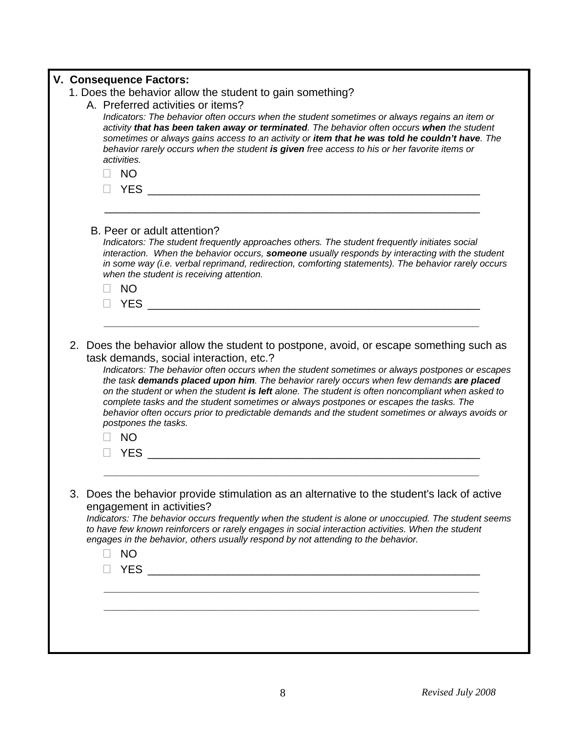|  | V. Consequence Factors:<br>1. Does the behavior allow the student to gain something?                                                                                                                                                                                                                                                                                                                                                                                                                                                                                                                                                                                     |
|--|--------------------------------------------------------------------------------------------------------------------------------------------------------------------------------------------------------------------------------------------------------------------------------------------------------------------------------------------------------------------------------------------------------------------------------------------------------------------------------------------------------------------------------------------------------------------------------------------------------------------------------------------------------------------------|
|  | A. Preferred activities or items?<br>Indicators: The behavior often occurs when the student sometimes or always regains an item or<br>activity that has been taken away or terminated. The behavior often occurs when the student<br>sometimes or always gains access to an activity or item that he was told he couldn't have. The<br>behavior rarely occurs when the student is given free access to his or her favorite items or<br>activities.<br><b>NO</b><br>- 1                                                                                                                                                                                                   |
|  | B. Peer or adult attention?<br>Indicators: The student frequently approaches others. The student frequently initiates social<br>interaction. When the behavior occurs, someone usually responds by interacting with the student<br>in some way (i.e. verbal reprimand, redirection, comforting statements). The behavior rarely occurs<br>when the student is receiving attention.<br><b>NO</b><br><b>YES EXECUTE THE SECOND SECOND SECOND SECOND SECOND SECOND SECOND SECOND SECOND SECOND SECOND SECOND SECOND SECOND SECOND SECOND SECOND SECOND SECOND SECOND SECOND SECOND SECOND SECOND SECOND SECOND SECOND SECOND SECOND </b>                                    |
|  | 2. Does the behavior allow the student to postpone, avoid, or escape something such as<br>task demands, social interaction, etc.?<br>Indicators: The behavior often occurs when the student sometimes or always postpones or escapes<br>the task demands placed upon him. The behavior rarely occurs when few demands are placed<br>on the student or when the student is left alone. The student is often noncompliant when asked to<br>complete tasks and the student sometimes or always postpones or escapes the tasks. The<br>behavior often occurs prior to predictable demands and the student sometimes or always avoids or<br>postpones the tasks.<br><b>NO</b> |
|  | 3. Does the behavior provide stimulation as an alternative to the student's lack of active<br>engagement in activities?<br>Indicators: The behavior occurs frequently when the student is alone or unoccupied. The student seems<br>to have few known reinforcers or rarely engages in social interaction activities. When the student<br>engages in the behavior, others usually respond by not attending to the behavior.<br><b>NO</b>                                                                                                                                                                                                                                 |
|  |                                                                                                                                                                                                                                                                                                                                                                                                                                                                                                                                                                                                                                                                          |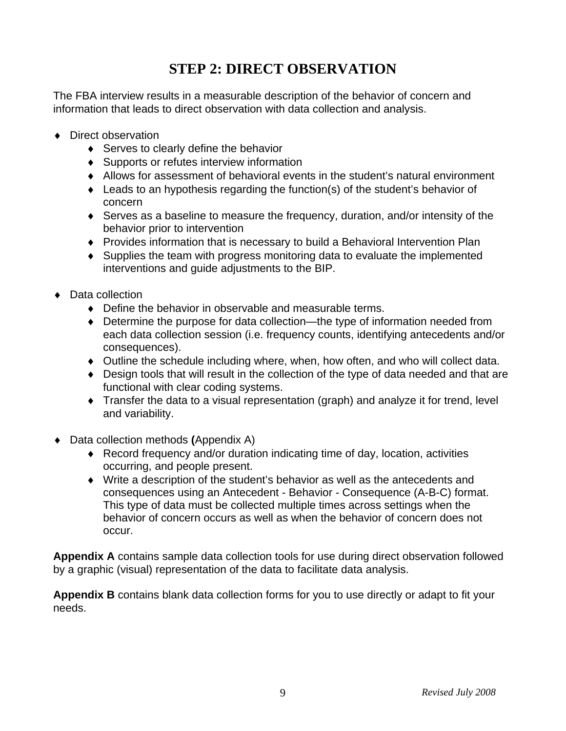### **STEP 2: DIRECT OBSERVATION**

The FBA interview results in a measurable description of the behavior of concern and information that leads to direct observation with data collection and analysis.

- ◆ Direct observation
	- ♦ Serves to clearly define the behavior
	- ♦ Supports or refutes interview information
	- ♦ Allows for assessment of behavioral events in the student's natural environment
	- ♦ Leads to an hypothesis regarding the function(s) of the student's behavior of concern
	- ♦ Serves as a baseline to measure the frequency, duration, and/or intensity of the behavior prior to intervention
	- ♦ Provides information that is necessary to build a Behavioral Intervention Plan
	- ♦ Supplies the team with progress monitoring data to evaluate the implemented interventions and guide adjustments to the BIP.
- ◆ Data collection
	- ♦ Define the behavior in observable and measurable terms.
	- ♦ Determine the purpose for data collection—the type of information needed from each data collection session (i.e. frequency counts, identifying antecedents and/or consequences).
	- ♦ Outline the schedule including where, when, how often, and who will collect data.
	- ♦ Design tools that will result in the collection of the type of data needed and that are functional with clear coding systems.
	- ♦ Transfer the data to a visual representation (graph) and analyze it for trend, level and variability.
- ♦ Data collection methods **(**Appendix A)
	- ♦ Record frequency and/or duration indicating time of day, location, activities occurring, and people present.
	- ♦ Write a description of the student's behavior as well as the antecedents and consequences using an Antecedent - Behavior - Consequence (A-B-C) format. This type of data must be collected multiple times across settings when the behavior of concern occurs as well as when the behavior of concern does not occur.

**Appendix A** contains sample data collection tools for use during direct observation followed by a graphic (visual) representation of the data to facilitate data analysis.

**Appendix B** contains blank data collection forms for you to use directly or adapt to fit your needs.